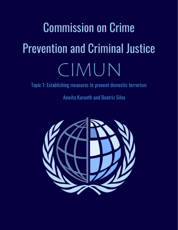# Commission on Crime Prevention and Criminal Justice CIMUN

Topic 1: Establishing measures to prevent domestic terrorism

Anwita Karanth and Beatriz Silva

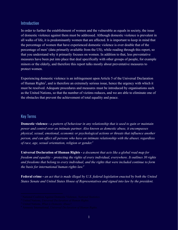#### Introduction

In order to further the establishment of women and the vulnerable as equals in society, the issue of domestic violence against them must be addressed. Although domestic violence is prevalent in all walks of life, it is predominantly women that are affected. It is important to keep in mind that the percentage of women that have experienced domestic violence is over double that of the percentage of men<sup> $1$ </sup> (data primarily available from the US), while reading through this report, so that you understand why it primarily focuses on women. In addition to that, less preventative measures have been put into place that deal specifically with other groups of people, for example minors or the elderly, and therefore this report talks mostly about preventative measures to protect women.

Experiencing domestic violence is an infringement upon Article 5 of the Universal Declaration of Human Rights<sup>2</sup>, and is therefore an extremely serious issue, hence the urgency with which it must be resolved. Adequate procedures and measures must be introduced by organisations such as the United Nations, so that the number of victims reduces, and we are able to eliminate one of the obstacles that prevent the achievement of total equality and peace.

#### Key Terms

**Domestic violence -** *a pattern of behaviour in any relationship that is used to gain or maintain power and control over an intimate partner. Also known as domestic abuse, it encompasses physical, sexual, emotional, economic or psychological actions or threats that influence another person, and can affect all persons who have an intimate relationship with the abuser, regardless of race, age, sexual orientation, religion or gender. 3*

**Universal Declaration of Human Rights -** *a document that acts like a global road map for freedom and equality – protecting the rights of every individual, everywhere. It outlines 30 rights and freedoms that belong to every individual, and the rights that were included continue to form the basis for international human rights law. 4*

**Federal crime -** *an act that is made illegal by U.S. federal legislation enacted by both the United States Senate and United States House of Representatives and signed into law by the president.*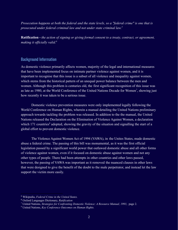*Prosecution happens at both the federal and the state levels, so a "federal crime" is one that is prosecuted under federal criminal law and not under state criminal law. 5*

**Ratification -** *the action of signing or giving formal consent to a treaty, contract, or agreement, making it officially valid.<sup>6</sup>*

#### Background Information

As domestic violence primarily affects women, majority of the legal and international measures that have been implemented focus on intimate partner violence against women, and it is important to recognise that this issue is a subset of all violence and inequality against women, which stems from the historical pattern of an unequal power balance between the men and women. Although this problem is centuries old, the first significant recognition of this issue was as late as 1980, at the World Conference of the United Nations Decade for Women<sup>7</sup>, showing just how recently it was taken to be a serious issue.

Domestic violence prevention measures were only implemented legally following the World Conference on Human Rights, wherein a manual detailing the United Nations preliminary approach towards tackling the problem was released. In addition to the the manual, the United Nations released the Declaration on the Elimination of Violence Against Women, a declaration which 171 countries<sup>8</sup> adopted, showing the gravity of the situation and signalling the start of a global effort to prevent domestic violence.

The Violence Against Women Act of 1994 (VAWA), in the Unites States, made domestic abuse a federal crime. The passing of this bill was monumental, as it was the first official legislation passed by a significant world power that outlawed domestic abuse and all other forms of violence against women, even if it focused on domestic abuse against women and not any other types of people. There had been attempts in other countries and other laws passed, however, the passing of VAWA was important as it removed the nuanced clauses in other laws that were designed to give the benefit of the doubt to the male perpetrator, and instead let the law support the victim more easily.

<sup>5</sup> Wikipedia, *Federal Crime in the United States.*

<sup>6</sup> Oxford Languages Dictionary, *Ratification*

<sup>7</sup> United Nations, *Strategies for Confronting Domestic Violence: A Resource Manual, 1993*, page 2.

<sup>8</sup> United Nations, *Key Conference Outcomes on Human Rights.*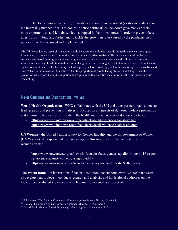Due to the current pandemic, domestic abuse rates have spiralled (as shown by data about the increasing number of calls to domestic abuse hotlines)<sup>9</sup>, as lockdown gave many abusers more opportunities, and left abuse victims trapped in their own homes. In order to prevent these rates from climbing any further and to tackle the growth in rates caused by the pandemic, new policies must be discussed and implemented.

NB: While conducting research, delegates should be aware that attitudes towards domestic violence vary slightly from country to country, due to cultural norms, and this may affect statistics. This is on account of the fact that attitudes vary based on religion and underlying ideology about subservient women and children that remains in some cultures to date. In addition to these cultural stigmas about speaking up, a lot of victims of abuse do not speak up due to fear of death or further injury, lack of support, lack of knowledge, lack of means to support themselves and more<sup>10</sup>. Due to these reasons, it is believed that the proportion of people facing abuse is much larger than the proportion who report it, and it is important to keep in mind that statistics may not reflect the true numbers while researching.

# Major Countries and Organizations Involved

**World Health Organization -** WHO collaborates with the UN and other partner organisations to lead research and prevention initiatives. It focuses on all aspects of domestic violence prevention and aftermath, but focuses primarily in the health and social aspects of domestic violence.

- <https://www.who.int/news-room/fact-sheets/detail/violence-against-women>
- <https://www.who.int/news-room/fact-sheets/detail/violence-against-children>

**UN Women -** the United Nations Entity for Gender Equality and the Empowerment of Women (UN Women) takes special interest and charge of this topic, due to the fact that it is mostly women affected.

- [https://www.unwomen.org/en/news/in-focus/in-focus-gender-equality-in-covid-19-respon](https://www.unwomen.org/en/news/in-focus/in-focus-gender-equality-in-covid-19-response/violence-against-women-during-covid-19) [se/violence-against-women-during-covid-19](https://www.unwomen.org/en/news/in-focus/in-focus-gender-equality-in-covid-19-response/violence-against-women-during-covid-19)
- <https://www.unwomen.org/en/search-results?keywords=domestic%20violence>

**The World Bank -** an international financial institution that supports over \$300,000,000 worth of development projects<sup>11</sup>, conducts research and analysis, and holds global addresses on the topic of gender-based violence, of which domestic violence is a subset of.

<sup>9</sup> UN Women, *The Shadow Pandemic: Violence Against Women During Covid-19*

<sup>10</sup> National Coalition Against Domestic Violence, *Why Do Victims Stay?*

<sup>11</sup> World Bank, *Gender-Based Violence (Violence Against Women and Girls)*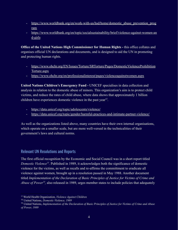- https://www.worldbank.org/en/work-with-us/hsd/home/domestic abuse prevention prog [ram](https://www.worldbank.org/en/work-with-us/hsd/home/domestic_abuse_prevention_program)
- [https://www.worldbank.org/en/topic/socialsustainability/brief/violence-against-women-an](https://www.worldbank.org/en/topic/socialsustainability/brief/violence-against-women-and-girls) [d-girls](https://www.worldbank.org/en/topic/socialsustainability/brief/violence-against-women-and-girls)

**Office of the United Nations High Commissioner for Human Rights -** this office collates and organises official UN declarations and documents, and is designed to aid the UN in promoting and protecting human rights.

- [https://www.ohchr.org/EN/Issues/Torture/SRTorture/Pages/DomesticViolenceProhibition](https://www.ohchr.org/EN/Issues/Torture/SRTorture/Pages/DomesticViolenceProhibitionTorture.aspx) [Torture.aspx](https://www.ohchr.org/EN/Issues/Torture/SRTorture/Pages/DomesticViolenceProhibitionTorture.aspx)
- <https://www.ohchr.org/en/professionalinterest/pages/violenceagainstwomen.aspx>

**United Nations Children's Emergency Fund -** UNICEF specialises in data collection and analysis in relation to the domestic abuse of minors. This organization's aim is to protect child victims, and reduce the rates of child abuse, where data shows that approximately 1 billion children have experiences domestic violence in the past year<sup>12</sup>.

- <https://data.unicef.org/topic/adolescents/violence/>
- <https://data.unicef.org/topic/gender/harmful-practices-and-intimate-partner-violence/>

As well as the organizations listed above, many countries have their own internal organisations, which operate on a smaller scale, but are more well-versed in the technicalities of their government's laws and cultural norms.

# Relevant UN Resolutions and Reports

The first official recognition by the Economic and Social Council was in a short report titled *Domestic Violence<sup>13</sup>*. Published in 1989, it acknowledges both the significance of domestic violence for the victims, as well as recalls and re-affirms the committment to eradicate all violence against women, brought up in a resolution passed in May 1988. Another document titled *Implementation of the Declaration of Basic Principles of Justice for Victims of Crime and Abuse of Power*<sup>14</sup>, also released in 1989, urges member states to include policies that adequately

<sup>12</sup> World Health Organization, *Violence Against Children*

<sup>13</sup> United Nations, *Domestic Violence, 1989*

<sup>14</sup> United Nations, *Implementation of the Declaration of Basic Principles of Justice for Victims of Crime and Abuse of Power, 1989*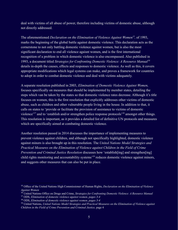deal with victims of all abuse of power, therefore including victims of domestic abuse, although not directly addressed.

The aforementioned *Declaration on the Elimination of Violence Against Women<sup>15</sup>, of 1993,* marks the beginning of the global battle against domestic violence. This declaration acts as the cornerstone to not only battling domestic violence against women, but is also the most significant declaration to end all violence agaisnt women, and is the first international recognition of a problem in which domestic violence is also encompassed. Also published in 1993, a document titled *Strategies for Confronting Domestic Violence: A Resource Manual<sup>16</sup>* details in-depth the causes, effects and responses to domestic violence. As well as this, it covers appropriate modifications which legal systems can make, and proves a framework for countries to adopt in order to combat domestic violence and deal with victims adequately.

A separate resolution published in 2003, *Elimination of Domestic Violence Against Women,* focuses specifically on measures that should be implemented by member states, detailing the steps which van be taken by the states so that domestic violence rates decrease. Although it's title focuses on women, this is the first resolution that explicitly addresses other victims of domestic abuse, such as children and other vulnerable people living in the house. In addition to that, it calls on states to 'provide or facilitate the provision of assistance to victims of domestic violence'<sup>17</sup> and to 'establish and/or strengthen police response protocols'<sup>18</sup> amongst other things. This resolution is important, as it provides a detailed list of definitive UN protocols and measures which are specifically aimed at combating domestic violence.

Another resolution passed in 2014 discusses the importance of implementing measures to prevent violence against children, and although not specifically highlighted, domestic violence against minors is also brought up in this resolution. The *United Nations Model Strategies and Practical Measures on the Elimination of Violence against Children in the Field of Crime Prevention and Criminal Justice Resolution* discusses how 'establish[ing] and strengthen[ing] child rights monitoring and accountability systems<sup>'19</sup> reduces domestic violence against minors, and suggests other measures that can also be put in place.

<sup>15</sup> Office of the United Nations High Commissioner of Human Rights, *Declaration on the Elimination of Violence Against Women*

<sup>16</sup> United Nations Office on Drugs and Crime, *Strategies for Confronting Domestic Violence: A Resource Manual*

<sup>17</sup> ODS, *Elimination of domestic violence against women, pages 3-4*

<sup>18</sup> ODS, *Elimination of domestic violence against women, pages 3-4*

<sup>19</sup> United Nations, *United Nations Model Strategies and Practical Measures on the Elimination of Violence against Children in the Field of Crime Prevention and Criminal Justice,* page 4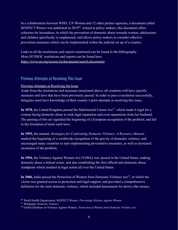In a collaboration between WHO, UN Women and 12 other partner agencies, a document called *RESPECT Women* was published in 2019<sup>20</sup>. Aimed at policy makers, this document offers solutions for lawmakers, in which the prevention of domestic abuse towards women, adolescents and children specifically is emphasised, and allows policy makers to consider effective prevention measures which can be implemented within the judicial set up of a country.

Links to all the resolutions and reports mentioned can be found in the bibliography. More ECOSOC resolutions and reports can be found here: <https://www.un.org/ecosoc/en/documents/search-documents>

# Previous Attempts at Resolving This Issue

#### Previous Attempts at Resolving the Issue

Aside from the resolutions and measures mentioned above, all countries will have specific measures and laws that have been previously passed. In order to pass a resolution successfully, delegates must have knowledge of their country's prior attempts at resolving this issue.

**In 1878,** the United Kingdom passed the Matrimonial Causes Act<sup>21</sup>, which made it legal for a woman facing domestic abuse to seek legal separation and even reparations from her husband. The passing of this act signalled the beginning of a European recognition of the problem, and led to the formation of more such laws.

**In 1993,** the manual, *Strategies for Confronting Domestic Violence: A Resource Manual,* marked the beginning of a worldwide recognition of the gravity of domestic violence, and encouraged many countries to start implementing preventative measures, as well as increased awareness of the problem.

**In 1994,** the Violence Against Women Act (VAWA) was passed in the United States, making domestic abuse a federal crime, and also establishing the first official anti-domestic abuse standpoint which resulted in legal action all over the United States.

In 2006, India passed the Protection of Women from Domestic Violence  $Act^{22}$ , in which the victim was granted access to protection and legal support, and provided a comprehensive definition for the term domestic violence, which included harassment for dowry (the money,

<sup>20</sup> World Health Organization, *RESPECT Women: Preventing Violence Against Women*

<sup>21</sup> Wikipedia, *Domestic Violence*

<sup>22</sup> Global Database on Violence Against Women, *Protection of Women from Domestic Violence Act*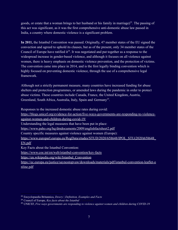goods, or estate that a woman brings to her husband or his family in marriage)<sup>23</sup>. The passing of this act was significant, as it was the first comprehensive anti-domestic abuse law passed in India, a country where domestic violence is a significant problem.

**In 2011,** the Istanbul Convention was passed. Originally, 47 member states of the EU signed the convection and agreed to uphold its clauses, but as of the present, only 34 member states of the Council of Europe have ratified  $it^{24}$ . It was negotiated and put together as a response to the widespread increase in gender-based violence, and although it focuses on all violence against women, there is heavy emphasis on domestic violence prevention, and the protection of victims. The convention came into place in 2014, and is the first legally binding convention which is highly focused on preventing domestic violence, through the use of a comprehensive legal framework.

Although not a strictly permanent measure, many countries have increased funding for abuse shelters and protection programmes, or amended laws during the pandemic in order to protect abuse victims. These countries include Canada, France, the United Kingdom, Austria, Greenland, South Africa, Australia, Italy, Spain and Germany<sup>25</sup>.

Responses to the increased domestic abuse rates during covid:

[https://blogs.unicef.org/evidence-for-action/five-ways-governments-are-responding-to-violence](https://blogs.unicef.org/evidence-for-action/five-ways-governments-are-responding-to-violence-against-women-and-children-during-covid-19/)[against-women-and-children-during-covid-19/](https://blogs.unicef.org/evidence-for-action/five-ways-governments-are-responding-to-violence-against-women-and-children-during-covid-19/)

Understanding the legal measures that have been put in place:

<https://www.paho.org/hq/dmdocuments/2009/englishfactsheet2.pdf>

Country specific measures against violence against women (Europe):

https://www.europarl.europa.eu/RegData/etudes/STUD/2020/658648/IPOL\_STU(2020)658648 [EN.pdf](https://www.europarl.europa.eu/RegData/etudes/STUD/2020/658648/IPOL_STU(2020)658648_EN.pdf)

Key Facts about the Istanbul Convention:

<https://www.coe.int/en/web/istanbul-convention/key-facts>

[https://en.wikipedia.org/wiki/Istanbul\\_Convention](https://en.wikipedia.org/wiki/Istanbul_Convention)

[https://ec.europa.eu/justice/saynostopvaw/downloads/materials/pdf/istanbul-convention-leaflet-o](https://ec.europa.eu/justice/saynostopvaw/downloads/materials/pdf/istanbul-convention-leaflet-online.pdf) [nline.pdf](https://ec.europa.eu/justice/saynostopvaw/downloads/materials/pdf/istanbul-convention-leaflet-online.pdf)

<sup>23</sup> Encyclopaedia Britannica, *Dowry | Definition, Examples and Facts*

<sup>&</sup>lt;sup>24</sup> Council of Europe, *Key facts about the Istanbul* 

<sup>25</sup> UNICEF, *Five ways governments are responding to violence against women and children during COVID-19*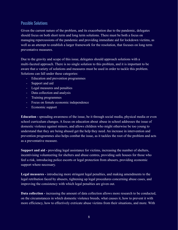# Possible Solutions

Given the current nature of the problem, and its exacerbation due to the pandemic, delegates should focus on both short term and long term solutions. There must be both a focus on managing repercussions of the pandemic and providing immediate aid for lockdown victims, as well as an attempt to establish a larger framework for the resolution, that focuses on long term preventative measures.

Due to the gravity and scope of this issue, delegates should approach solutions with a multi-faceted approach. There is no single solution to this problem, and it is important to be aware that a variety of solutions and measures must be used in order to tackle this problem. Solutions can fall under these categories:

- Education and prevention programmes
- Support and aid
- Legal measures and penalties
- Data collection and analysis
- Training programmes
- Focus on female economic independence
- Economic support

**Education -** spreading awareness of the issue, be it through social media, physical media or even school curriculum changes. A focus on education about abuse in school addresses the issue of domestic violence against minors, and allows children who might otherwise be too young to understand that they are being abused get the help they need. An increase in intervention and prevention programmes also helps combat the issue, as it tackles the root of the problem and acts as a preventative measure.

**Support and aid -** providing legal assistance for victims, increasing the number of shelters, incentivising volunteering for shelters and abuse centres, providing safe houses for those who feel a risk, introducing police escorts or legal protection from abusers, providing economic support where necessary.

**Legal measures -** introducing more stringent legal penalties, and making amendments to the legal retribution faced by abusers, tightening up legal procedures concerning abuse cases, and improving the consistency with which legal penalties are given out.

**Data collection -** increasing the amount of data collection allows more research to be conducted, on the circumstances in which domestic violence breeds, what causes it, how to prevent it with more efficiency, how to effectively extricate abuse victims from their situations, and more. With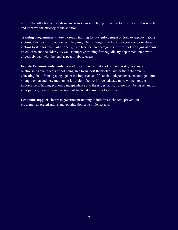more data collection and analysis, measures can keep being improved to reflect current research and improve the efficacy of the solution.

**Training programmes -** more thorough training for law enforcement on how to approach abuse victims, handle situations in which they might be in danger, and how to encourage more abuse victims to step forward. Additionally, train teachers and caregivers how to spot the signs of abuse on children and the elderly, as well as improve training for the judiciary department on how to effectively deal with the legal aspect of abuse cases.

**Female Economic independence -** address the issue that a lot of women stay in abusive relationships due to fears of not being able to support themselves and/or their children by educating them from a young age on the importance of financial independence, encourage more young women and new mothers to join/rejoin the workforce, educate more women on the importance of having economic independence and the issues that can arise from being reliant on your partner, increase awareness about financial abuse as a form of abuse.

**Economic support -** increase government funding to initiatives, shelters, prevention programmes, organisations and existing domestic violence acts.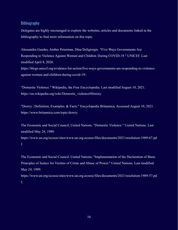### Bibliography

Delegates are highly encouraged to explore the websites, articles and documents linked in the bibliography to find more information on this topic.

Alessandra Guedes, Amber Peterman, Dina Deligiorgis. "Five Ways Governments Are Responding to Violence Against Women and Children During COVID-19." UNICEF. Last modified April 8, 2020.

https://blogs.unicef.org/evidence-for-action/five-ways-governments-are-responding-to-violenceagainst-women-and-children-during-covid-19/.

"Domestic Violence." Wikipedia, the Free Encyclopedia. Last modified August 10, 2021. https://en.wikipedia.org/wiki/Domestic\_violence#History.

"Dowry | Definition, Examples, & Facts." Encyclopedia Britannica. Accessed August 10, 2021. https://www.britannica.com/topic/dowry.

The Economic and Social Council, United Nations. "Domestic Violence." United Nations. Last modified May 24, 1989.

https://www.un.org/ecosoc/sites/www.un.org.ecosoc/files/documents/2021/resolution-1989-67.pd f.

The Economic and Social Council, United Nations. "Implementation of the Declaration of Basic Principles of Justice for Victims of Crime and Abuse of Power." United Nations. Last modified May 24, 1989. https://www.un.org/ecosoc/sites/www.un.org.ecosoc/files/documents/2021/resolution-1989-57.pd

f.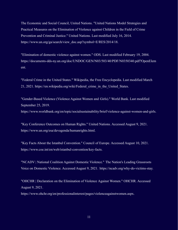The Economic and Social Council, United Nations. "United Nations Model Strategies and Practical Measures on the Elimination of Violence against Children in the Field of Crime Prevention and Criminal Justice." United Nations. Last modified July 16, 2014. https://www.un.org/ga/search/view\_doc.asp?symbol=E/RES/2014/18.

"Elimination of domestic violence against women." ODS. Last modified February 19, 2004. https://documents-dds-ny.un.org/doc/UNDOC/GEN/N03/503/40/PDF/N0350340.pdf?OpenElem ent.

"Federal Crime in the United States." Wikipedia, the Free Encyclopedia. Last modified March 21, 2021. https://en.wikipedia.org/wiki/Federal\_crime\_in\_the\_United\_States.

"Gender-Based Violence (Violence Against Women and Girls)." World Bank. Last modified September 25, 2019.

https://www.worldbank.org/en/topic/socialsustainability/brief/violence-against-women-and-girls.

"Key Conference Outcomes on Human Rights." United Nations. Accessed August 9, 2021. https://www.un.org/esa/devagenda/humanrights.html.

"Key Facts About the Istanbul Convention." Council of Europe. Accessed August 10, 2021. https://www.coe.int/en/web/istanbul-convention/key-facts.

"NCADV | National Coalition Against Domestic Violence." The Nation's Leading Grassroots Voice on Domestic Violence. Accessed August 9, 2021. https://ncadv.org/why-do-victims-stay.

"OHCHR | Declaration on the Elimination of Violence Against Women." OHCHR. Accessed August 9, 2021.

https://www.ohchr.org/en/professionalinterest/pages/violenceagainstwomen.aspx.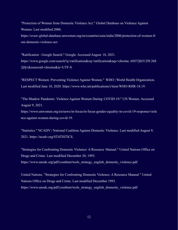"Protection of Women from Domestic Violence Act." Global Database on Violence Against Women. Last modified 2006. https://evaw-global-database.unwomen.org/en/countries/asia/india/2006/protection-of-women-fr om-domestic-violence-act.

"Ratification - Google Search." Google. Accessed August 10, 2021. https://www.google.com/search?q=ratification&oq=ratification&aqs=chrome..69i57j0i512l9.268 2j0j1&sourceid=chrome&ie=UTF-8.

"RESPECT Women: Preventing Violence Against Women." WHO | World Health Organization. Last modified June 10, 2020. https://www.who.int/publications/i/item/WHO-RHR-18.19.

"The Shadow Pandemic: Violence Against Women During COVID-19." UN Women. Accessed August 9, 2021.

https://www.unwomen.org/en/news/in-focus/in-focus-gender-equality-in-covid-19-response/viole nce-against-women-during-covid-19.

"Statistics." NCADV | National Coalition Against Domestic Violence. Last modified August 9, 2021. https://ncadv.org/STATISTICS.

"Strategies for Confronting Domestic Violence: A Resource Manual." United Nations Office on Drugs and Crime. Last modified December 20, 1993. https://www.unodc.org/pdf/youthnet/tools\_strategy\_english\_domestic\_violence.pdf.

United Nations. "Strategies for Confronting Domestic Violence: A Resource Manual." United Nations Office on Drugs and Crime. Last modified December 1993. https://www.unodc.org/pdf/youthnet/tools\_strategy\_english\_domestic\_violence.pdf.